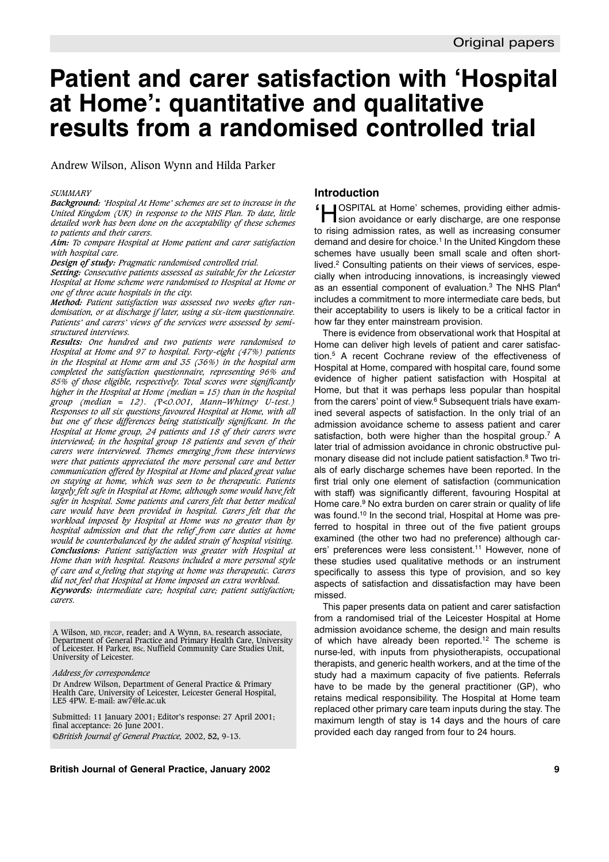# **Patient and carer satisfaction with 'Hospital at Home': quantitative and qualitative results from a randomised controlled trial**

Andrew Wilson, Alison Wynn and Hilda Parker

#### *SUMMARY*

*Background: 'Hospital At Home' schemes are set to increase in the United Kingdom (UK) in response to the NHS Plan. To date, little detailed work has been done on the acceptability of these schemes to patients and their carers.*

*Aim: To compare Hospital at Home patient and carer satisfaction with hospital care.*

*Design of study: Pragmatic randomised controlled trial.*

*Setting: Consecutive patients assessed as suitable for the Leicester Hospital at Home scheme were randomised to Hospital at Home or one of three acute hospitals in the city.*

*Method: Patient satisfaction was assessed two weeks after randomisation, or at discharge if later, using a six-item questionnaire. Patients' and carers' views of the services were assessed by semistructured interviews.*

*Results: One hundred and two patients were randomised to Hospital at Home and 97 to hospital. Forty-eight (47%) patients in the Hospital at Home arm and 35 (36%) in the hospital arm completed the satisfaction questionnaire, representing 96% and 85% of those eligible, respectively. Total scores were significantly higher in the Hospital at Home (median = 15) than in the hospital group (median = 12). (*P*<0.001, Mann–Whitney U-test.) Responses to all six questions favoured Hospital at Home, with all but one of these differences being statistically significant. In the Hospital at Home group, 24 patients and 18 of their carers were interviewed; in the hospital group 18 patients and seven of their carers were interviewed. Themes emerging from these interviews were that patients appreciated the more personal care and better communication offered by Hospital at Home and placed great value on staying at home, which was seen to be therapeutic. Patients largely felt safe in Hospital at Home, although some would have felt safer in hospital. Some patients and carers felt that better medical care would have been provided in hospital. Carers felt that the workload imposed by Hospital at Home was no greater than by hospital admission and that the relief from care duties at home would be counterbalanced by the added strain of hospital visiting. Conclusions: Patient satisfaction was greater with Hospital at Home than with hospital. Reasons included a more personal style of care and a feeling that staying at home was therapeutic. Carers did not feel that Hospital at Home imposed an extra workload. Keywords: intermediate care; hospital care; patient satisfaction; carers.*

A Wilson, MD, FRCGP, reader; and A Wynn, BA, research associate, Department of General Practice and Primary Health Care, University of Leicester. H Parker, BSc, Nuffield Community Care Studies Unit, University of Leicester.

*Address for correspondence*

Dr Andrew Wilson, Department of General Practice & Primary Health Care, University of Leicester, Leicester General Hospital, LE5 4PW. E-mail: aw7@le.ac.uk

Submitted: 11 January 2001; Editor's response: 27 April 2001; final acceptance: 26 June 2001. ©*British Journal of General Practice,* 2002, **52,** 9-13.

## **Introduction**

'HOSPITAL at Home' schemes, providing either admis-sion avoidance or early discharge, are one response to rising admission rates, as well as increasing consumer demand and desire for choice.<sup>1</sup> In the United Kingdom these schemes have usually been small scale and often shortlived.<sup>2</sup> Consulting patients on their views of services, especially when introducing innovations, is increasingly viewed as an essential component of evaluation.<sup>3</sup> The NHS Plan<sup>4</sup> includes a commitment to more intermediate care beds, but their acceptability to users is likely to be a critical factor in how far they enter mainstream provision.

There is evidence from observational work that Hospital at Home can deliver high levels of patient and carer satisfaction.5 A recent Cochrane review of the effectiveness of Hospital at Home, compared with hospital care, found some evidence of higher patient satisfaction with Hospital at Home, but that it was perhaps less popular than hospital from the carers' point of view.<sup>6</sup> Subsequent trials have examined several aspects of satisfaction. In the only trial of an admission avoidance scheme to assess patient and carer satisfaction, both were higher than the hospital group.<sup>7</sup> A later trial of admission avoidance in chronic obstructive pulmonary disease did not include patient satisfaction.8 Two trials of early discharge schemes have been reported. In the first trial only one element of satisfaction (communication with staff) was significantly different, favouring Hospital at Home care.<sup>9</sup> No extra burden on carer strain or quality of life was found.<sup>10</sup> In the second trial, Hospital at Home was preferred to hospital in three out of the five patient groups examined (the other two had no preference) although carers' preferences were less consistent.<sup>11</sup> However, none of these studies used qualitative methods or an instrument specifically to assess this type of provision, and so key aspects of satisfaction and dissatisfaction may have been missed.

This paper presents data on patient and carer satisfaction from a randomised trial of the Leicester Hospital at Home admission avoidance scheme, the design and main results of which have already been reported.<sup>12</sup> The scheme is nurse-led, with inputs from physiotherapists, occupational therapists, and generic health workers, and at the time of the study had a maximum capacity of five patients. Referrals have to be made by the general practitioner (GP), who retains medical responsibility. The Hospital at Home team replaced other primary care team inputs during the stay. The maximum length of stay is 14 days and the hours of care provided each day ranged from four to 24 hours.

### **British Journal of General Practice, January 2002 9**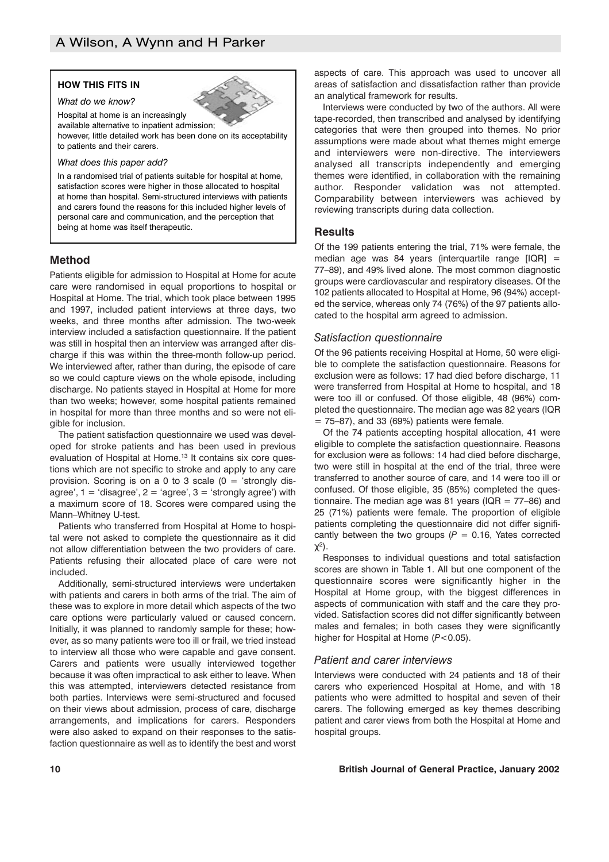## **HOW THIS FITS IN**

*What do we know?*

Hospital at home is an increasingly available alternative to inpatient admission;

however, little detailed work has been done on its acceptability to patients and their carers.

#### *What does this paper add?*

In a randomised trial of patients suitable for hospital at home, satisfaction scores were higher in those allocated to hospital at home than hospital. Semi-structured interviews with patients and carers found the reasons for this included higher levels of personal care and communication, and the perception that being at home was itself therapeutic.

## **Method**

Patients eligible for admission to Hospital at Home for acute care were randomised in equal proportions to hospital or Hospital at Home. The trial, which took place between 1995 and 1997, included patient interviews at three days, two weeks, and three months after admission. The two-week interview included a satisfaction questionnaire. If the patient was still in hospital then an interview was arranged after discharge if this was within the three-month follow-up period. We interviewed after, rather than during, the episode of care so we could capture views on the whole episode, including discharge. No patients stayed in Hospital at Home for more than two weeks; however, some hospital patients remained in hospital for more than three months and so were not eligible for inclusion.

The patient satisfaction questionnaire we used was developed for stroke patients and has been used in previous evaluation of Hospital at Home.<sup>13</sup> It contains six core questions which are not specific to stroke and apply to any care provision. Scoring is on a 0 to 3 scale  $(0 = 'strongly dis$ agree',  $1 = 'disagree'$ ,  $2 = 'agree'$ ,  $3 = 'strongly agree'$ ) with a maximum score of 18. Scores were compared using the Mann–Whitney U-test.

Patients who transferred from Hospital at Home to hospital were not asked to complete the questionnaire as it did not allow differentiation between the two providers of care. Patients refusing their allocated place of care were not included.

Additionally, semi-structured interviews were undertaken with patients and carers in both arms of the trial. The aim of these was to explore in more detail which aspects of the two care options were particularly valued or caused concern. Initially, it was planned to randomly sample for these; however, as so many patients were too ill or frail, we tried instead to interview all those who were capable and gave consent. Carers and patients were usually interviewed together because it was often impractical to ask either to leave. When this was attempted, interviewers detected resistance from both parties. Interviews were semi-structured and focused on their views about admission, process of care, discharge arrangements, and implications for carers. Responders were also asked to expand on their responses to the satisfaction questionnaire as well as to identify the best and worst

aspects of care. This approach was used to uncover all areas of satisfaction and dissatisfaction rather than provide an analytical framework for results.

Interviews were conducted by two of the authors. All were tape-recorded, then transcribed and analysed by identifying categories that were then grouped into themes. No prior assumptions were made about what themes might emerge and interviewers were non-directive. The interviewers analysed all transcripts independently and emerging themes were identified, in collaboration with the remaining author. Responder validation was not attempted. Comparability between interviewers was achieved by reviewing transcripts during data collection.

#### **Results**

Of the 199 patients entering the trial, 71% were female, the median age was 84 years (interquartile range  $[IQR] =$ 77–89), and 49% lived alone. The most common diagnostic groups were cardiovascular and respiratory diseases. Of the 102 patients allocated to Hospital at Home, 96 (94%) accepted the service, whereas only 74 (76%) of the 97 patients allocated to the hospital arm agreed to admission.

#### *Satisfaction questionnaire*

Of the 96 patients receiving Hospital at Home, 50 were eligible to complete the satisfaction questionnaire. Reasons for exclusion were as follows: 17 had died before discharge, 11 were transferred from Hospital at Home to hospital, and 18 were too ill or confused. Of those eligible, 48 (96%) completed the questionnaire. The median age was 82 years (IQR  $= 75-87$ , and 33 (69%) patients were female.

Of the 74 patients accepting hospital allocation, 41 were eligible to complete the satisfaction questionnaire. Reasons for exclusion were as follows: 14 had died before discharge, two were still in hospital at the end of the trial, three were transferred to another source of care, and 14 were too ill or confused. Of those eligible, 35 (85%) completed the questionnaire. The median age was 81 years (IQR =  $77-86$ ) and 25 (71%) patients were female. The proportion of eligible patients completing the questionnaire did not differ significantly between the two groups  $(P = 0.16)$ , Yates corrected  $\chi^2$ ).

Responses to individual questions and total satisfaction scores are shown in Table 1. All but one component of the questionnaire scores were significantly higher in the Hospital at Home group, with the biggest differences in aspects of communication with staff and the care they provided. Satisfaction scores did not differ significantly between males and females; in both cases they were significantly higher for Hospital at Home (*P*<0.05).

#### *Patient and carer interviews*

Interviews were conducted with 24 patients and 18 of their carers who experienced Hospital at Home, and with 18 patients who were admitted to hospital and seven of their carers. The following emerged as key themes describing patient and carer views from both the Hospital at Home and hospital groups.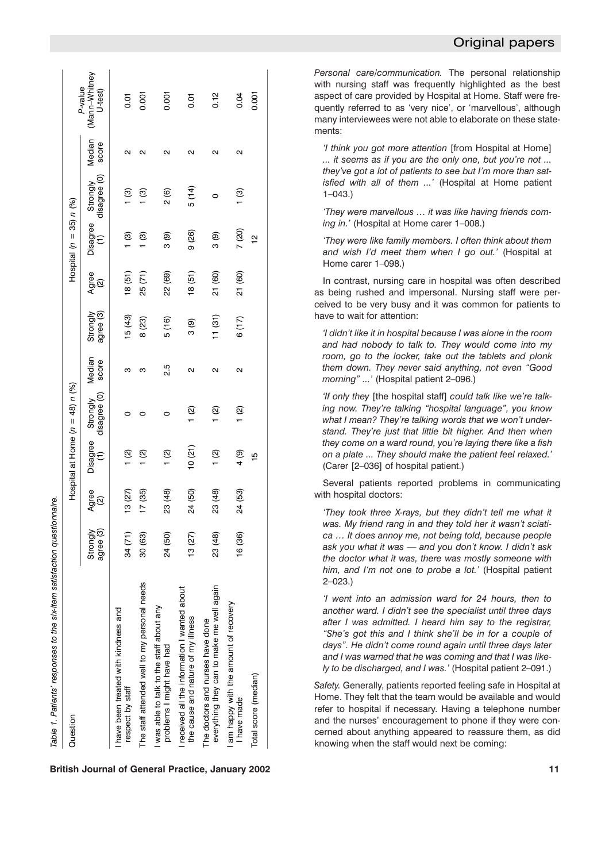| Question                                                                          |                       |                                      |                | Hospital at Home $(n = 48) n$ (%) |                 |                       |              | Hospital $(n = 35) n$ (%) |                                   |                 |                                     |
|-----------------------------------------------------------------------------------|-----------------------|--------------------------------------|----------------|-----------------------------------|-----------------|-----------------------|--------------|---------------------------|-----------------------------------|-----------------|-------------------------------------|
|                                                                                   | Strongly<br>agree (3) | Agree<br>$\mathbf{\widehat{\infty}}$ | $\widehat{E}$  | Disagree Strongly<br>disagree (0) | Median<br>score | agree (3)<br>Strongly | Agree<br>(2) | $\widehat{t}$             | disagree (0)<br>Disagree Strongly | Median<br>score | (Mann-Whitney<br>P-value<br>U-test) |
| I have been treated with kindness and<br>respect by staff                         | 34 (71)               | 13(27)                               | $\frac{1}{2}$  |                                   | ო               | 15(43)                | 18(51)       | 1 (3)                     | ල<br>1                            | ุด              | 0.01                                |
| The staff attended well to my personal needs                                      | 30 (63)               | 17(35)                               | (2)            |                                   | ო               | 8(23)                 | 25(71)       | $\frac{1}{2}$             | <u>ල</u>                          | Ν               | 0.001                               |
| was able to talk to the staff about any<br>problems I might have had              | 24 (50)               | 23 (48)                              | $\frac{1}{2}$  | 0                                 | 2.5             | 5(16)                 | 22 (69)      | 3(9)                      | 2(6)                              | Σ               | 0.001                               |
| received all the information I wanted about<br>the cause and nature of my illness | 13(27)                | 24 (50)                              | 10(21)         | <u>୍</u>                          | Σ               | 3(9)                  | 18(51)       | 9(26)                     | 5 (14)                            | Σ               | $\overline{0}$                      |
| everything they can to make me well again<br>The doctors and nurses have done     | 23 (48)               | 23 (48)                              | 1 (2)          | <u>ପ</u>                          | Σ               | 11(31)                | 21 (60)      | 3(9)                      | 0                                 | Σ               | 0.12                                |
| am happy with the amount of recovery<br>I have made                               | 16 (36)               | 24 (53)                              | $\frac{4}{9}$  | <u>ପ</u>                          | $\sim$          | 6(17)                 | 21 (60)      | 7 (20)                    | ල<br>                             | Ν               | 0.04                                |
| Total score (median)                                                              |                       |                                      | $\frac{10}{1}$ |                                   |                 |                       |              | $\frac{1}{2}$             |                                   |                 | 0.001                               |

**British Journal of General Practice, January 2002** 11

*Personal care/communication.* The personal relationship with nursing staff was frequently highlighted as the best aspect of care provided by Hospital at Home. Staff were frequently referred to as 'very nice', or 'marvellous', although many interviewees were not able to elaborate on these statements:

*'I think you got more attention* [from Hospital at Home] *... it seems as if you are the only one, but you're not ... they've got a lot of patients to see but I'm more than satisfied with all of them ...'* (Hospital at Home patient 1–043.)

*'They were marvellous … it was like having friends coming in.'* (Hospital at Home carer 1–008.)

*'They were like family members. I often think about them and wish I'd meet them when I go out.'* (Hospital at Home carer 1–098.)

In contrast, nursing care in hospital was often described as being rushed and impersonal. Nursing staff were perceived to be very busy and it was common for patients to have to wait for attention:

*'I didn't like it in hospital because I was alone in the room and had nobody to talk to. They would come into my room, go to the locker, take out the tablets and plonk them down. They never said anything, not even "Good morning" ...'* (Hospital patient 2–096.)

*'If only they* [the hospital staff] *could talk like we're talking now. They're talking "hospital language", you know what I mean? They're talking words that we won't understand. They're just that little bit higher. And then when they come on a ward round, you're laying there like a fish on a plate ... They should make the patient feel relaxed.'* (Carer [2–036] of hospital patient.)

Several patients reported problems in communicating with hospital doctors:

*'They took three X-rays, but they didn't tell me what it was. My friend rang in and they told her it wasn't sciatica … It does annoy me, not being told, because people ask you what it was — and you don't know. I didn't ask the doctor what it was, there was mostly someone with him, and I'm not one to probe a lot.'* (Hospital patient 2–023.)

*'I went into an admission ward for 24 hours, then to another ward. I didn't see the specialist until three days after I was admitted. I heard him say to the registrar, "She's got this and I think she'll be in for a couple of days". He didn't come round again until three days later and I was warned that he was coming and that I was likely to be discharged, and I was.'* (Hospital patient 2–091.)

*Safety.* Generally, patients reported feeling safe in Hospital at Home. They felt that the team would be available and would refer to hospital if necessary. Having a telephone number and the nurses' encouragement to phone if they were concerned about anything appeared to reassure them, as did knowing when the staff would next be coming: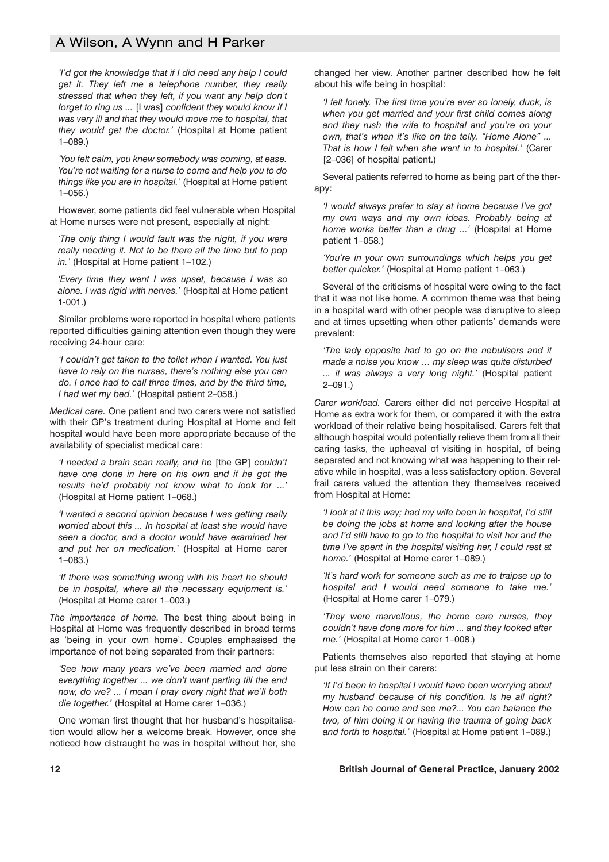# A Wilson, A Wynn and H Parker

*'I'd got the knowledge that if I did need any help I could get it. They left me a telephone number, they really stressed that when they left, if you want any help don't forget to ring us ...* [I was] *confident they would know if I was very ill and that they would move me to hospital, that they would get the doctor.'* (Hospital at Home patient 1–089.)

*'You felt calm, you knew somebody was coming, at ease. You're not waiting for a nurse to come and help you to do things like you are in hospital.'* (Hospital at Home patient 1–056.)

However, some patients did feel vulnerable when Hospital at Home nurses were not present, especially at night:

*'The only thing I would fault was the night, if you were really needing it. Not to be there all the time but to pop in.'* (Hospital at Home patient 1–102.)

*'Every time they went I was upset, because I was so alone. I was rigid with nerves.'* (Hospital at Home patient 1-001.)

Similar problems were reported in hospital where patients reported difficulties gaining attention even though they were receiving 24-hour care:

*'I couldn't get taken to the toilet when I wanted. You just have to rely on the nurses, there's nothing else you can do. I once had to call three times, and by the third time, I had wet my bed.'* (Hospital patient 2–058.)

*Medical care.* One patient and two carers were not satisfied with their GP's treatment during Hospital at Home and felt hospital would have been more appropriate because of the availability of specialist medical care:

*'I needed a brain scan really, and he* [the GP] *couldn't have one done in here on his own and if he got the results he'd probably not know what to look for ...'* (Hospital at Home patient 1–068.)

*'I wanted a second opinion because I was getting really worried about this ... In hospital at least she would have seen a doctor, and a doctor would have examined her and put her on medication.'* (Hospital at Home carer 1–083.)

*'If there was something wrong with his heart he should be in hospital, where all the necessary equipment is.'* (Hospital at Home carer 1–003.)

*The importance of home.* The best thing about being in Hospital at Home was frequently described in broad terms as 'being in your own home'. Couples emphasised the importance of not being separated from their partners:

*'See how many years we've been married and done everything together ... we don't want parting till the end now, do we? ... I mean I pray every night that we'll both die together.'* (Hospital at Home carer 1–036.)

One woman first thought that her husband's hospitalisation would allow her a welcome break. However, once she noticed how distraught he was in hospital without her, she changed her view. Another partner described how he felt about his wife being in hospital:

*'I felt lonely. The first time you're ever so lonely, duck, is when you get married and your first child comes along and they rush the wife to hospital and you're on your own, that's when it's like on the telly. "Home Alone" ... That is how I felt when she went in to hospital.'* (Carer [2–036] of hospital patient.)

Several patients referred to home as being part of the therapy:

*'I would always prefer to stay at home because I've got my own ways and my own ideas. Probably being at home works better than a drug ...'* (Hospital at Home patient 1–058.)

*'You're in your own surroundings which helps you get better quicker.'* (Hospital at Home patient 1–063.)

Several of the criticisms of hospital were owing to the fact that it was not like home. A common theme was that being in a hospital ward with other people was disruptive to sleep and at times upsetting when other patients' demands were prevalent:

*'The lady opposite had to go on the nebulisers and it made a noise you know … my sleep was quite disturbed ... it was always a very long night.'* (Hospital patient 2–091.)

*Carer workload.* Carers either did not perceive Hospital at Home as extra work for them, or compared it with the extra workload of their relative being hospitalised. Carers felt that although hospital would potentially relieve them from all their caring tasks, the upheaval of visiting in hospital, of being separated and not knowing what was happening to their relative while in hospital, was a less satisfactory option. Several frail carers valued the attention they themselves received from Hospital at Home:

*'I look at it this way; had my wife been in hospital, I'd still be doing the jobs at home and looking after the house and I'd still have to go to the hospital to visit her and the time I've spent in the hospital visiting her, I could rest at home.'* (Hospital at Home carer 1–089.)

*'It's hard work for someone such as me to traipse up to hospital and I would need someone to take me.'* (Hospital at Home carer 1–079.)

*'They were marvellous, the home care nurses, they couldn't have done more for him ... and they looked after me.'* (Hospital at Home carer 1–008.)

Patients themselves also reported that staying at home put less strain on their carers:

*'If I'd been in hospital I would have been worrying about my husband because of his condition. Is he all right? How can he come and see me?... You can balance the two, of him doing it or having the trauma of going back and forth to hospital.'* (Hospital at Home patient 1–089.)

#### **12 British Journal of General Practice, January 2002**